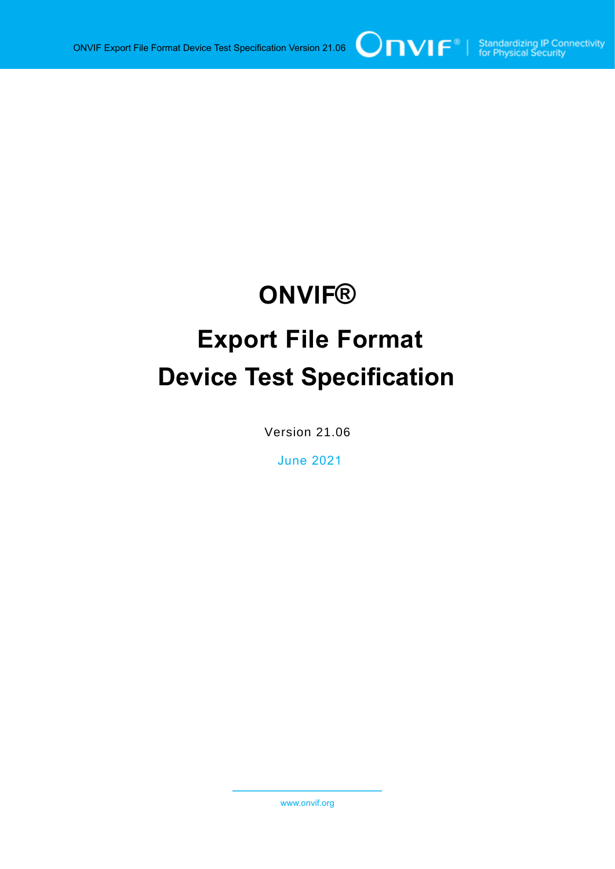# **ONVIF® Export File Format Device Test Specification**

Version 21.06

June 2021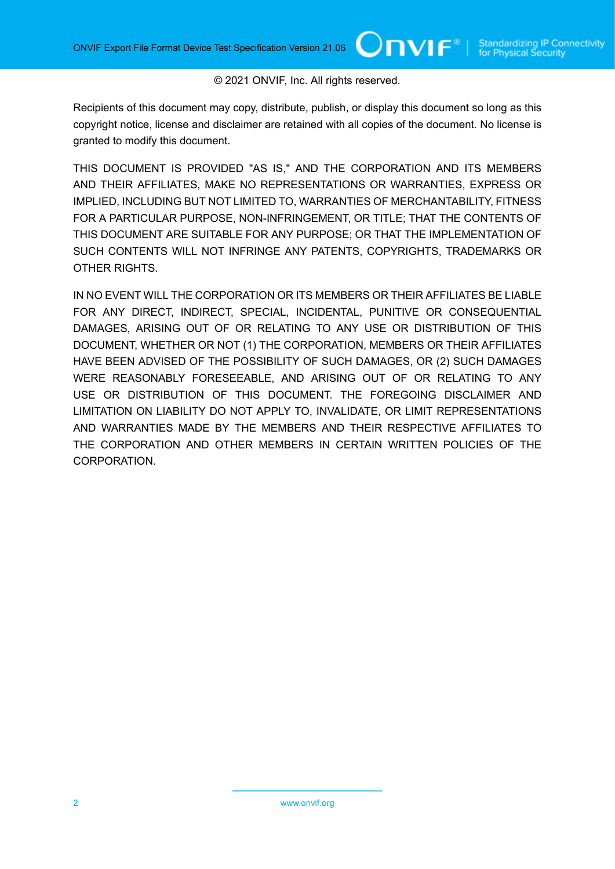#### © 2021 ONVIF, Inc. All rights reserved.

Recipients of this document may copy, distribute, publish, or display this document so long as this copyright notice, license and disclaimer are retained with all copies of the document. No license is granted to modify this document.

THIS DOCUMENT IS PROVIDED "AS IS," AND THE CORPORATION AND ITS MEMBERS AND THEIR AFFILIATES, MAKE NO REPRESENTATIONS OR WARRANTIES, EXPRESS OR IMPLIED, INCLUDING BUT NOT LIMITED TO, WARRANTIES OF MERCHANTABILITY, FITNESS FOR A PARTICULAR PURPOSE, NON-INFRINGEMENT, OR TITLE; THAT THE CONTENTS OF THIS DOCUMENT ARE SUITABLE FOR ANY PURPOSE; OR THAT THE IMPLEMENTATION OF SUCH CONTENTS WILL NOT INFRINGE ANY PATENTS, COPYRIGHTS, TRADEMARKS OR OTHER RIGHTS.

IN NO EVENT WILL THE CORPORATION OR ITS MEMBERS OR THEIR AFFILIATES BE LIABLE FOR ANY DIRECT, INDIRECT, SPECIAL, INCIDENTAL, PUNITIVE OR CONSEQUENTIAL DAMAGES, ARISING OUT OF OR RELATING TO ANY USE OR DISTRIBUTION OF THIS DOCUMENT, WHETHER OR NOT (1) THE CORPORATION, MEMBERS OR THEIR AFFILIATES HAVE BEEN ADVISED OF THE POSSIBILITY OF SUCH DAMAGES, OR (2) SUCH DAMAGES WERE REASONABLY FORESEEABLE, AND ARISING OUT OF OR RELATING TO ANY USE OR DISTRIBUTION OF THIS DOCUMENT. THE FOREGOING DISCLAIMER AND LIMITATION ON LIABILITY DO NOT APPLY TO, INVALIDATE, OR LIMIT REPRESENTATIONS AND WARRANTIES MADE BY THE MEMBERS AND THEIR RESPECTIVE AFFILIATES TO THE CORPORATION AND OTHER MEMBERS IN CERTAIN WRITTEN POLICIES OF THE CORPORATION.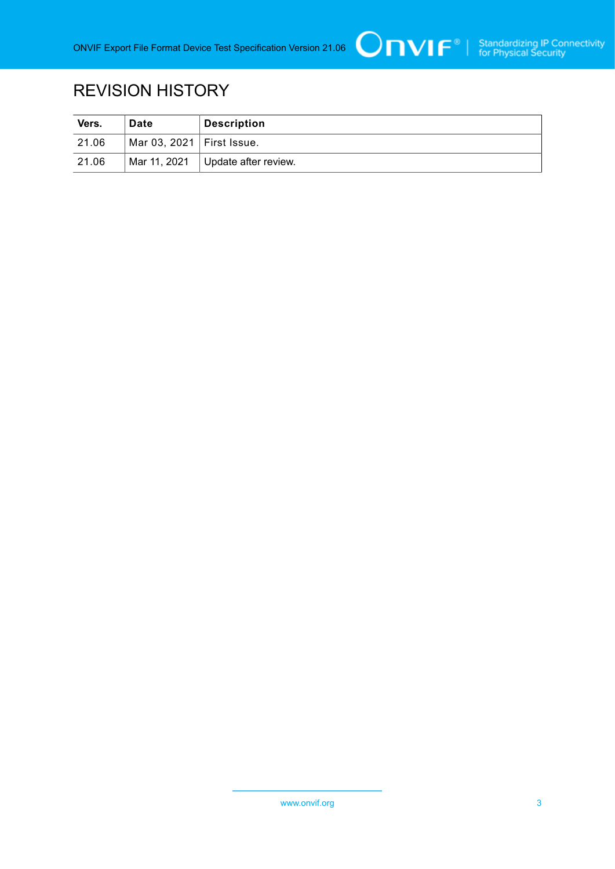

# REVISION HISTORY

| Vers. | Date                        | <b>Description</b>   |
|-------|-----------------------------|----------------------|
| 21.06 | Mar 03, 2021   First Issue. |                      |
| 21.06 | Mar 11, 2021                | Update after review. |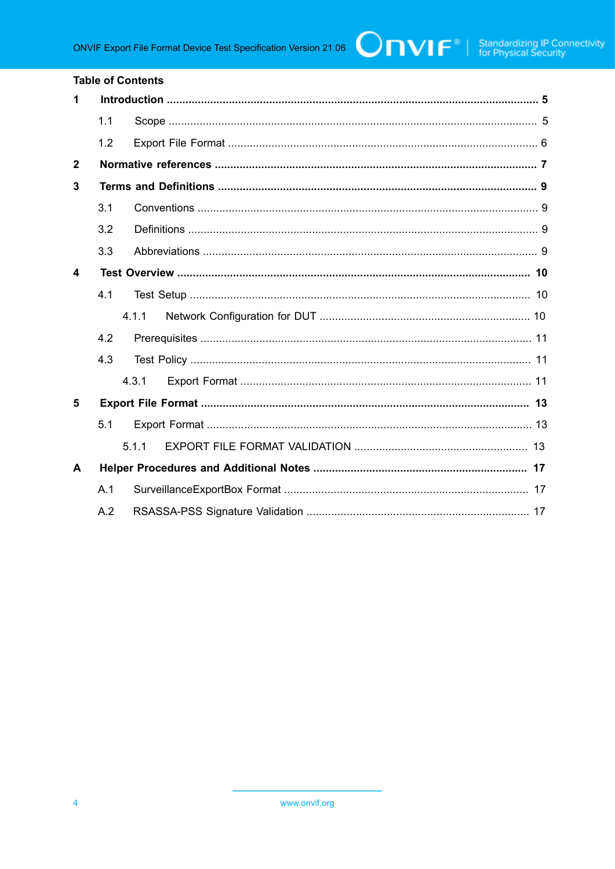#### **Table of Contents**

| 1                |     |       |  |  |
|------------------|-----|-------|--|--|
|                  | 1.1 |       |  |  |
|                  | 1.2 |       |  |  |
| $\mathbf{2}$     |     |       |  |  |
| 3                |     |       |  |  |
|                  | 3.1 |       |  |  |
|                  | 3.2 |       |  |  |
|                  | 3.3 |       |  |  |
| $\boldsymbol{4}$ |     |       |  |  |
|                  | 4.1 |       |  |  |
|                  |     | 4 1 1 |  |  |
|                  | 4.2 |       |  |  |
|                  | 4.3 |       |  |  |
|                  |     | 4.3.1 |  |  |
| 5                |     |       |  |  |
|                  | 5.1 |       |  |  |
|                  |     | 5.1.1 |  |  |
| A                |     |       |  |  |
|                  | A.1 |       |  |  |
|                  | A.2 |       |  |  |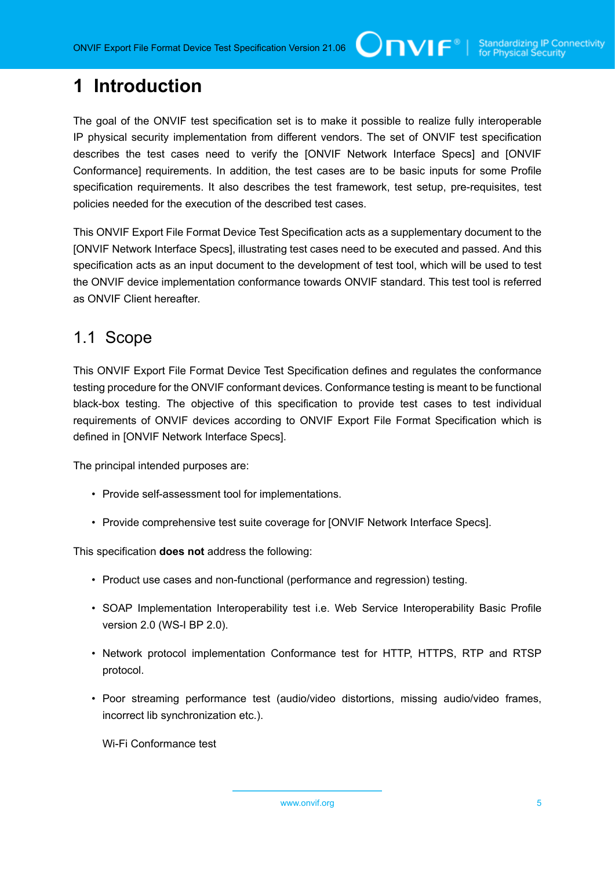# <span id="page-4-0"></span>**1 Introduction**

The goal of the ONVIF test specification set is to make it possible to realize fully interoperable IP physical security implementation from different vendors. The set of ONVIF test specification describes the test cases need to verify the [ONVIF Network Interface Specs] and [ONVIF Conformance] requirements. In addition, the test cases are to be basic inputs for some Profile specification requirements. It also describes the test framework, test setup, pre-requisites, test policies needed for the execution of the described test cases.

This ONVIF Export File Format Device Test Specification acts as a supplementary document to the [ONVIF Network Interface Specs], illustrating test cases need to be executed and passed. And this specification acts as an input document to the development of test tool, which will be used to test the ONVIF device implementation conformance towards ONVIF standard. This test tool is referred as ONVIF Client hereafter.

### <span id="page-4-1"></span>1.1 Scope

This ONVIF Export File Format Device Test Specification defines and regulates the conformance testing procedure for the ONVIF conformant devices. Conformance testing is meant to be functional black-box testing. The objective of this specification to provide test cases to test individual requirements of ONVIF devices according to ONVIF Export File Format Specification which is defined in [ONVIF Network Interface Specs].

The principal intended purposes are:

- Provide self-assessment tool for implementations.
- Provide comprehensive test suite coverage for [ONVIF Network Interface Specs].

This specification **does not** address the following:

- Product use cases and non-functional (performance and regression) testing.
- SOAP Implementation Interoperability test i.e. Web Service Interoperability Basic Profile version 2.0 (WS-I BP 2.0).
- Network protocol implementation Conformance test for HTTP, HTTPS, RTP and RTSP protocol.
- Poor streaming performance test (audio/video distortions, missing audio/video frames, incorrect lib synchronization etc.).

Wi-Fi Conformance test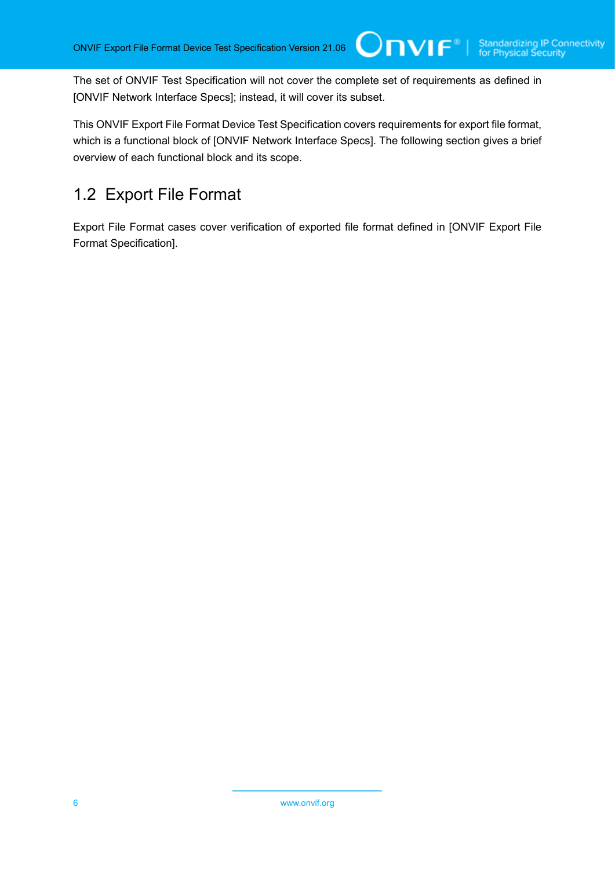The set of ONVIF Test Specification will not cover the complete set of requirements as defined in [ONVIF Network Interface Specs]; instead, it will cover its subset.

 $\square$ nvif ${}^*$ 

This ONVIF Export File Format Device Test Specification covers requirements for export file format, which is a functional block of [ONVIF Network Interface Specs]. The following section gives a brief overview of each functional block and its scope.

# <span id="page-5-0"></span>1.2 Export File Format

Export File Format cases cover verification of exported file format defined in [ONVIF Export File Format Specification].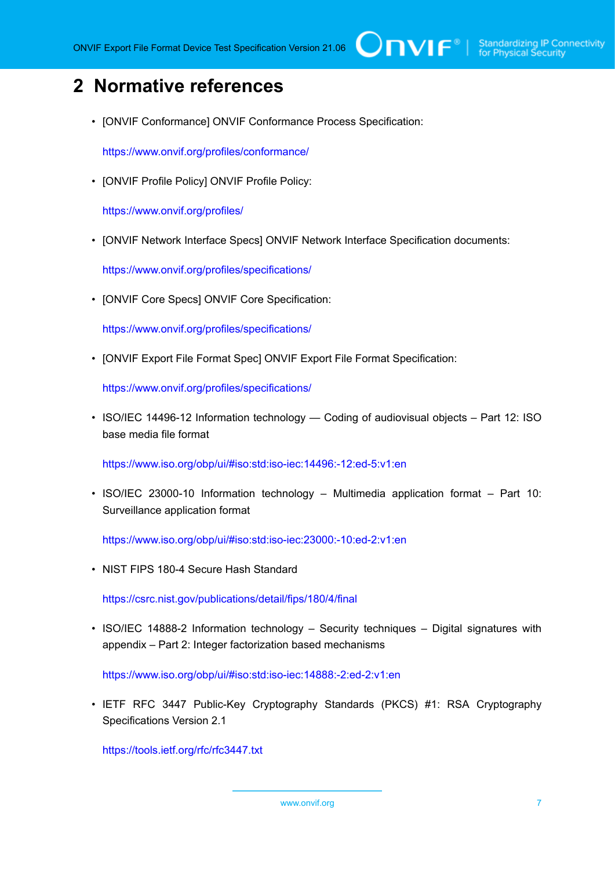# <span id="page-6-0"></span>**2 Normative references**

• [ONVIF Conformance] ONVIF Conformance Process Specification:

<https://www.onvif.org/profiles/conformance/>

• [ONVIF Profile Policy] ONVIF Profile Policy:

<https://www.onvif.org/profiles/>

• [ONVIF Network Interface Specs] ONVIF Network Interface Specification documents:

<https://www.onvif.org/profiles/specifications/>

• [ONVIF Core Specs] ONVIF Core Specification:

<https://www.onvif.org/profiles/specifications/>

• [ONVIF Export File Format Spec] ONVIF Export File Format Specification:

<https://www.onvif.org/profiles/specifications/>

• ISO/IEC 14496-12 Information technology — Coding of audiovisual objects – Part 12: ISO base media file format

<https://www.iso.org/obp/ui/#iso:std:iso-iec:14496:-12:ed-5:v1:en>

• ISO/IEC 23000-10 Information technology – Multimedia application format – Part 10: Surveillance application format

<https://www.iso.org/obp/ui/#iso:std:iso-iec:23000:-10:ed-2:v1:en>

• NIST FIPS 180-4 Secure Hash Standard

<https://csrc.nist.gov/publications/detail/fips/180/4/final>

• ISO/IEC 14888-2 Information technology – Security techniques – Digital signatures with appendix – Part 2: Integer factorization based mechanisms

<https://www.iso.org/obp/ui/#iso:std:iso-iec:14888:-2:ed-2:v1:en>

• IETF RFC 3447 Public-Key Cryptography Standards (PKCS) #1: RSA Cryptography Specifications Version 2.1

<https://tools.ietf.org/rfc/rfc3447.txt>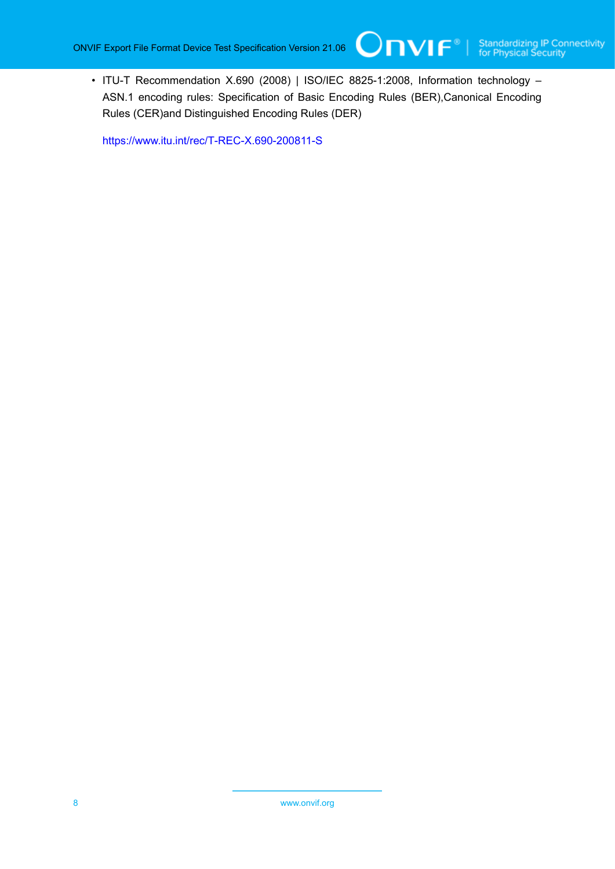• ITU-T Recommendation X.690 (2008) | ISO/IEC 8825-1:2008, Information technology – ASN.1 encoding rules: Specification of Basic Encoding Rules (BER),Canonical Encoding Rules (CER)and Distinguished Encoding Rules (DER)

 $\mathsf{Onv}$ ı $\mathsf{F}^\circ$ l

<https://www.itu.int/rec/T-REC-X.690-200811-S>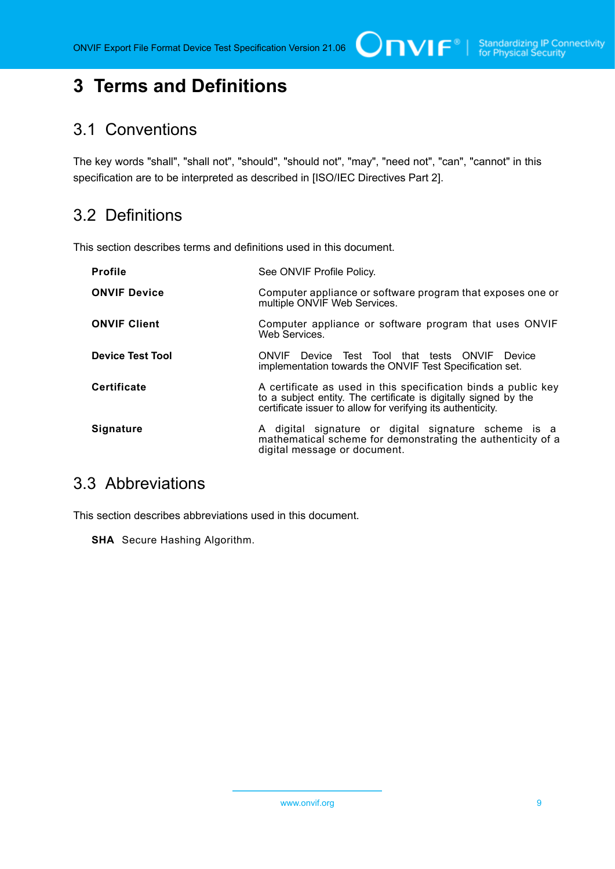# <span id="page-8-0"></span>**3 Terms and Definitions**

### <span id="page-8-1"></span>3.1 Conventions

The key words "shall", "shall not", "should", "should not", "may", "need not", "can", "cannot" in this specification are to be interpreted as described in [ISO/IEC Directives Part 2].

# <span id="page-8-2"></span>3.2 Definitions

This section describes terms and definitions used in this document.

| <b>Profile</b>          | See ONVIF Profile Policy.                                                                                                                                                                        |
|-------------------------|--------------------------------------------------------------------------------------------------------------------------------------------------------------------------------------------------|
| <b>ONVIF Device</b>     | Computer appliance or software program that exposes one or<br>multiple ONVIF Web Services.                                                                                                       |
| <b>ONVIF Client</b>     | Computer appliance or software program that uses ONVIF<br>Web Services.                                                                                                                          |
| <b>Device Test Tool</b> | ONVIF Device Test Tool that tests ONVIF Device<br>implementation towards the ONVIF Test Specification set.                                                                                       |
| <b>Certificate</b>      | A certificate as used in this specification binds a public key<br>to a subject entity. The certificate is digitally signed by the<br>certificate issuer to allow for verifying its authenticity. |
| Signature               | A digital signature or digital signature scheme is a<br>mathematical scheme for demonstrating the authenticity of a<br>digital message or document.                                              |

# <span id="page-8-3"></span>3.3 Abbreviations

This section describes abbreviations used in this document.

**SHA** Secure Hashing Algorithm.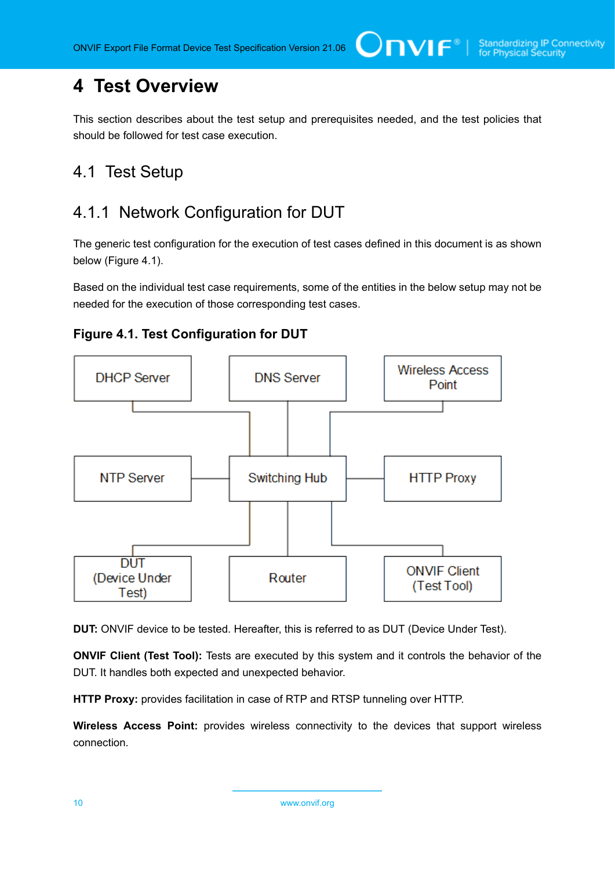# <span id="page-9-0"></span>**4 Test Overview**

This section describes about the test setup and prerequisites needed, and the test policies that should be followed for test case execution.

# <span id="page-9-1"></span>4.1 Test Setup

# <span id="page-9-2"></span>4.1.1 Network Configuration for DUT

The generic test configuration for the execution of test cases defined in this document is as shown below (Figure 4.1).

Based on the individual test case requirements, some of the entities in the below setup may not be needed for the execution of those corresponding test cases.





**DUT:** ONVIF device to be tested. Hereafter, this is referred to as DUT (Device Under Test).

**ONVIF Client (Test Tool):** Tests are executed by this system and it controls the behavior of the DUT. It handles both expected and unexpected behavior.

**HTTP Proxy:** provides facilitation in case of RTP and RTSP tunneling over HTTP.

**Wireless Access Point:** provides wireless connectivity to the devices that support wireless connection.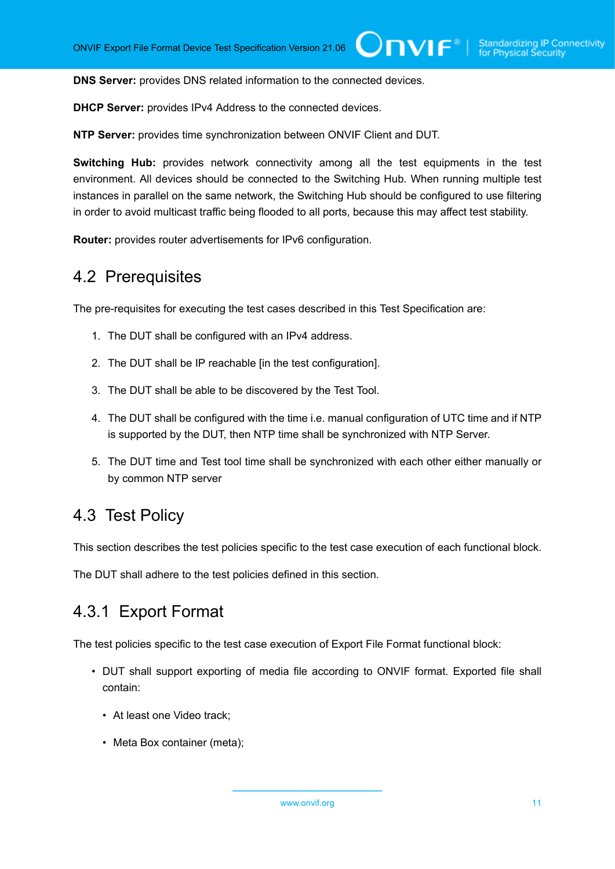**DNS Server:** provides DNS related information to the connected devices.

**DHCP Server:** provides IPv4 Address to the connected devices.

**NTP Server:** provides time synchronization between ONVIF Client and DUT.

**Switching Hub:** provides network connectivity among all the test equipments in the test environment. All devices should be connected to the Switching Hub. When running multiple test instances in parallel on the same network, the Switching Hub should be configured to use filtering in order to avoid multicast traffic being flooded to all ports, because this may affect test stability.

<span id="page-10-0"></span>**Router:** provides router advertisements for IPv6 configuration.

### 4.2 Prerequisites

The pre-requisites for executing the test cases described in this Test Specification are:

- 1. The DUT shall be configured with an IPv4 address.
- 2. The DUT shall be IP reachable [in the test configuration].
- 3. The DUT shall be able to be discovered by the Test Tool.
- 4. The DUT shall be configured with the time i.e. manual configuration of UTC time and if NTP is supported by the DUT, then NTP time shall be synchronized with NTP Server.
- 5. The DUT time and Test tool time shall be synchronized with each other either manually or by common NTP server

### <span id="page-10-1"></span>4.3 Test Policy

This section describes the test policies specific to the test case execution of each functional block.

<span id="page-10-2"></span>The DUT shall adhere to the test policies defined in this section.

# 4.3.1 Export Format

The test policies specific to the test case execution of Export File Format functional block:

- DUT shall support exporting of media file according to ONVIF format. Exported file shall contain:
	- At least one Video track;
	- Meta Box container (meta);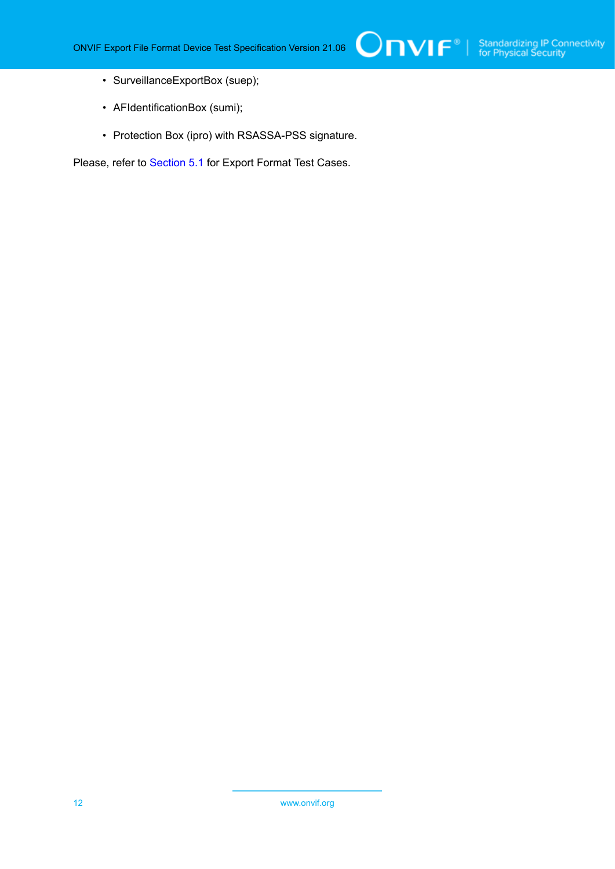- SurveillanceExportBox (suep);
- AFIdentificationBox (sumi);
- Protection Box (ipro) with RSASSA-PSS signature.

Please, refer to [Section 5.1](#page-12-1) for Export Format Test Cases.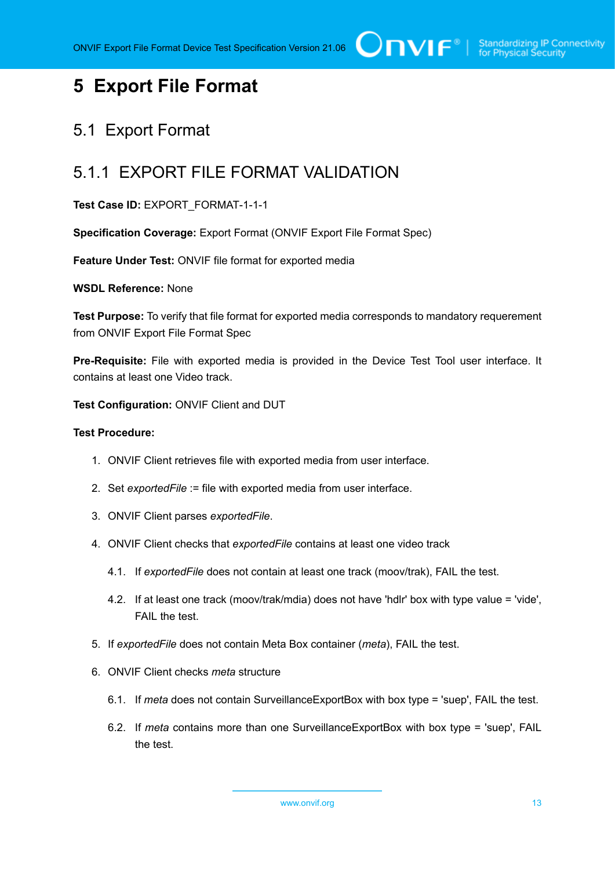# <span id="page-12-0"></span>**5 Export File Format**

# <span id="page-12-1"></span>5.1 Export Format

# <span id="page-12-2"></span>5.1.1 EXPORT FILE FORMAT VALIDATION

### **Test Case ID:** EXPORT\_FORMAT-1-1-1

**Specification Coverage:** Export Format (ONVIF Export File Format Spec)

**Feature Under Test:** ONVIF file format for exported media

#### **WSDL Reference:** None

**Test Purpose:** To verify that file format for exported media corresponds to mandatory requerement from ONVIF Export File Format Spec

**Pre-Requisite:** File with exported media is provided in the Device Test Tool user interface. It contains at least one Video track.

**Test Configuration:** ONVIF Client and DUT

#### **Test Procedure:**

- 1. ONVIF Client retrieves file with exported media from user interface.
- 2. Set *exportedFile* := file with exported media from user interface.
- 3. ONVIF Client parses *exportedFile*.
- 4. ONVIF Client checks that *exportedFile* contains at least one video track
	- 4.1. If *exportedFile* does not contain at least one track (moov/trak), FAIL the test.
	- 4.2. If at least one track (moov/trak/mdia) does not have 'hdlr' box with type value = 'vide', FAIL the test.
- 5. If *exportedFile* does not contain Meta Box container (*meta*), FAIL the test.
- 6. ONVIF Client checks *meta* structure
	- 6.1. If *meta* does not contain SurveillanceExportBox with box type = 'suep', FAIL the test.
	- 6.2. If *meta* contains more than one SurveillanceExportBox with box type = 'suep', FAIL the test.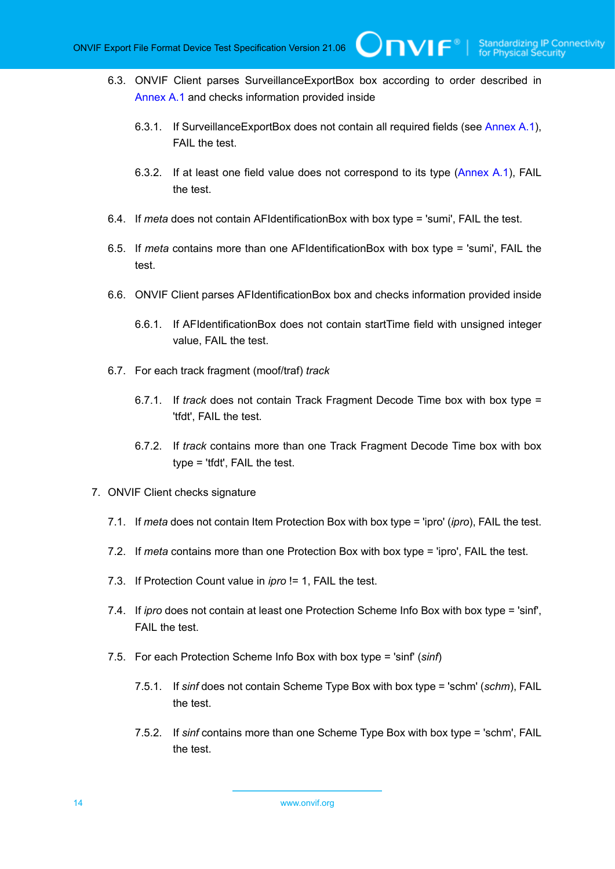- 6.3. ONVIF Client parses SurveillanceExportBox box according to order described in [Annex A.1](#page-16-1) and checks information provided inside
	- 6.3.1. If SurveillanceExportBox does not contain all required fields (see [Annex A.1](#page-16-1)), FAIL the test.

 $\mathsf{Onvif}^*$ 

- 6.3.2. If at least one field value does not correspond to its type [\(Annex A.1\)](#page-16-1), FAIL the test.
- 6.4. If *meta* does not contain AFIdentificationBox with box type = 'sumi', FAIL the test.
- 6.5. If *meta* contains more than one AFIdentificationBox with box type = 'sumi', FAIL the test.
- 6.6. ONVIF Client parses AFIdentificationBox box and checks information provided inside
	- 6.6.1. If AFIdentificationBox does not contain startTime field with unsigned integer value, FAIL the test.
- 6.7. For each track fragment (moof/traf) *track*
	- 6.7.1. If *track* does not contain Track Fragment Decode Time box with box type = 'tfdt', FAIL the test.
	- 6.7.2. If *track* contains more than one Track Fragment Decode Time box with box type = 'tfdt', FAIL the test.
- <span id="page-13-0"></span>7. ONVIF Client checks signature
	- 7.1. If *meta* does not contain Item Protection Box with box type = 'ipro' (*ipro*), FAIL the test.
	- 7.2. If *meta* contains more than one Protection Box with box type = 'ipro', FAIL the test.
	- 7.3. If Protection Count value in *ipro* != 1, FAIL the test.
	- 7.4. If *ipro* does not contain at least one Protection Scheme Info Box with box type = 'sinf', FAIL the test.
	- 7.5. For each Protection Scheme Info Box with box type = 'sinf' (*sinf*)
		- 7.5.1. If *sinf* does not contain Scheme Type Box with box type = 'schm' (*schm*), FAIL the test.
		- 7.5.2. If *sinf* contains more than one Scheme Type Box with box type = 'schm', FAIL the test.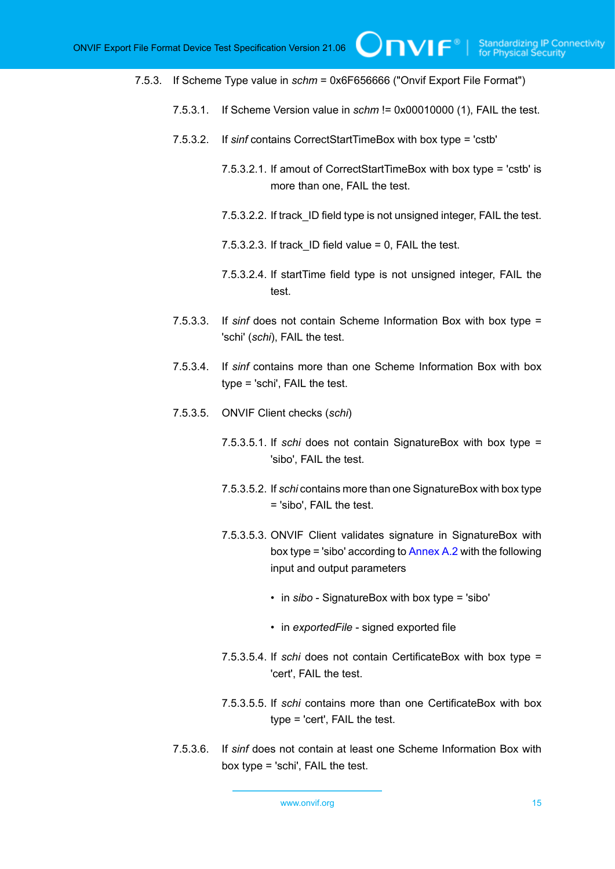7.5.3. If Scheme Type value in *schm* = 0x6F656666 ("Onvif Export File Format")

- 7.5.3.1. If Scheme Version value in *schm* != 0x00010000 (1), FAIL the test.
- 7.5.3.2. If *sinf* contains CorrectStartTimeBox with box type = 'cstb'
	- 7.5.3.2.1. If amout of CorrectStartTimeBox with box type = 'cstb' is more than one, FAIL the test.

 $\bigcirc$ nvı $\mathsf{F}^\ast$ l

- 7.5.3.2.2. If track\_ID field type is not unsigned integer, FAIL the test.
- $7.5.3.2.3.$  If track ID field value = 0, FAIL the test.
- 7.5.3.2.4. If startTime field type is not unsigned integer, FAIL the test.
- 7.5.3.3. If *sinf* does not contain Scheme Information Box with box type = 'schi' (*schi*), FAIL the test.
- 7.5.3.4. If *sinf* contains more than one Scheme Information Box with box type = 'schi', FAIL the test.
- 7.5.3.5. ONVIF Client checks (*schi*)
	- 7.5.3.5.1. If *schi* does not contain SignatureBox with box type = 'sibo', FAIL the test.
	- 7.5.3.5.2. If *schi* contains more than one SignatureBox with box type = 'sibo', FAIL the test.
	- 7.5.3.5.3. ONVIF Client validates signature in SignatureBox with box type = 'sibo' according to [Annex A.2](#page-16-2) with the following input and output parameters
		- in *sibo* SignatureBox with box type = 'sibo'
		- in *exportedFile* signed exported file
	- 7.5.3.5.4. If *schi* does not contain CertificateBox with box type = 'cert', FAIL the test.
	- 7.5.3.5.5. If *schi* contains more than one CertificateBox with box type = 'cert', FAIL the test.
- 7.5.3.6. If *sinf* does not contain at least one Scheme Information Box with box type = 'schi', FAIL the test.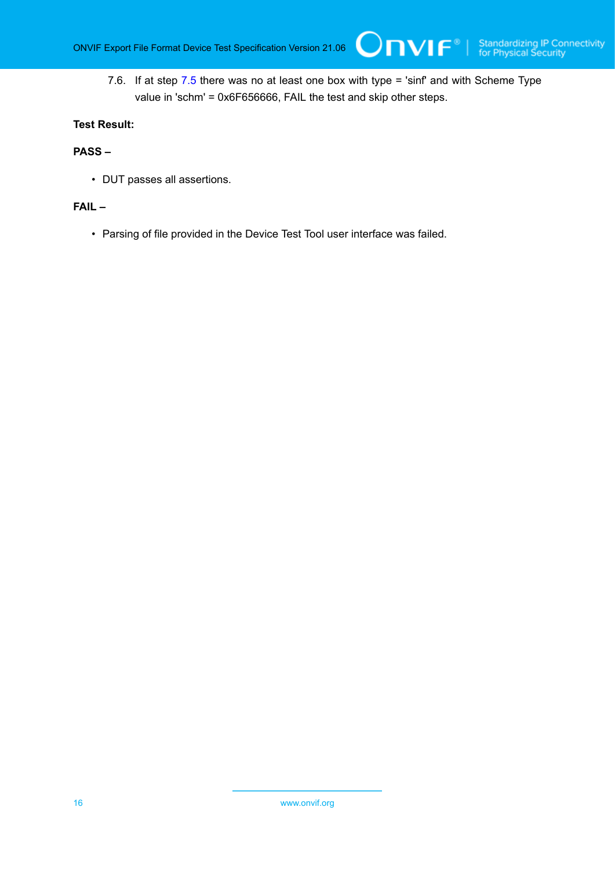7.6. If at step [7.5](#page-13-0) there was no at least one box with type = 'sinf' and with Scheme Type value in 'schm' = 0x6F656666, FAIL the test and skip other steps.

Onvıғ∗⊦

### **Test Result:**

#### **PASS –**

• DUT passes all assertions.

#### **FAIL –**

• Parsing of file provided in the Device Test Tool user interface was failed.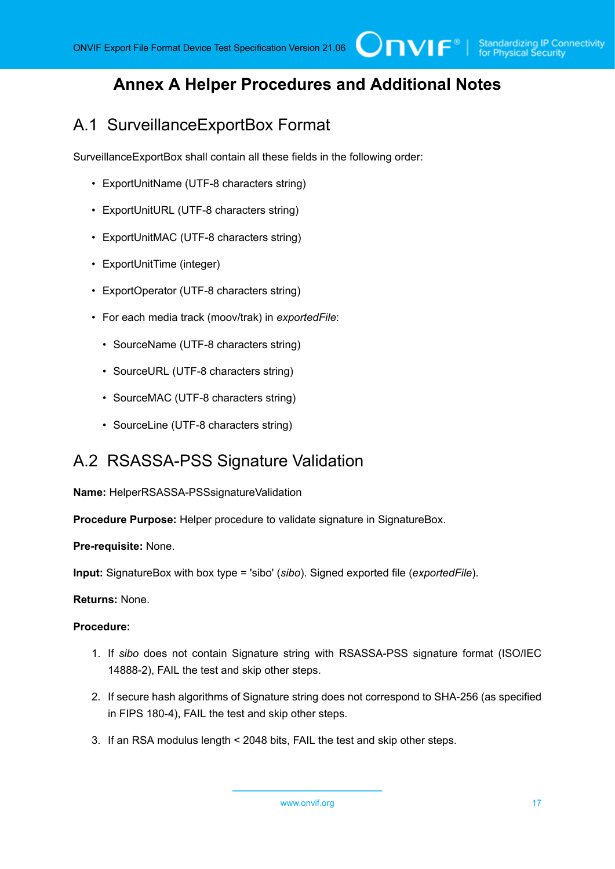# <span id="page-16-0"></span>**Annex A Helper Procedures and Additional Notes**

 $\bigcup$ NIF $^\circ$ l

# <span id="page-16-1"></span>A.1 SurveillanceExportBox Format

SurveillanceExportBox shall contain all these fields in the following order:

- ExportUnitName (UTF-8 characters string)
- ExportUnitURL (UTF-8 characters string)
- ExportUnitMAC (UTF-8 characters string)
- ExportUnitTime (integer)
- ExportOperator (UTF-8 characters string)
- For each media track (moov/trak) in *exportedFile*:
	- SourceName (UTF-8 characters string)
	- SourceURL (UTF-8 characters string)
	- SourceMAC (UTF-8 characters string)
	- SourceLine (UTF-8 characters string)

### <span id="page-16-2"></span>A.2 RSASSA-PSS Signature Validation

**Name:** HelperRSASSA-PSSsignatureValidation

**Procedure Purpose:** Helper procedure to validate signature in SignatureBox.

**Pre-requisite:** None.

**Input:** SignatureBox with box type = 'sibo' (*sibo*). Signed exported file (*exportedFile*).

**Returns:** None.

### **Procedure:**

- 1. If *sibo* does not contain Signature string with RSASSA-PSS signature format (ISO/IEC 14888-2), FAIL the test and skip other steps.
- 2. If secure hash algorithms of Signature string does not correspond to SHA-256 (as specified in FIPS 180-4), FAIL the test and skip other steps.
- 3. If an RSA modulus length < 2048 bits, FAIL the test and skip other steps.